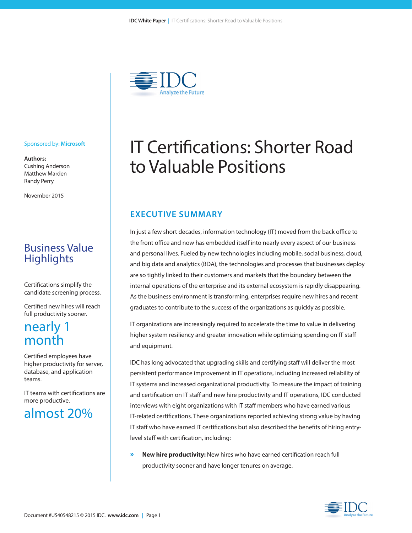

#### Sponsored by: **Microsoft**

**Authors:** Cushing Anderson Matthew Marden Randy Perry

November 2015

### Business Value **Highlights**

Certifications simplify the candidate screening process.

Certified new hires will reach full productivity sooner.

### nearly 1 month

Certified employees have higher productivity for server, database, and application teams.

IT teams with certifications are more productive.

## almost 20%

# IT Certifications: Shorter Road to Valuable Positions

#### **EXECUTIVE SUMMARY**

In just a few short decades, information technology (IT) moved from the back office to the front office and now has embedded itself into nearly every aspect of our business and personal lives. Fueled by new technologies including mobile, social business, cloud, and big data and analytics (BDA), the technologies and processes that businesses deploy are so tightly linked to their customers and markets that the boundary between the internal operations of the enterprise and its external ecosystem is rapidly disappearing. As the business environment is transforming, enterprises require new hires and recent graduates to contribute to the success of the organizations as quickly as possible.

IT organizations are increasingly required to accelerate the time to value in delivering higher system resiliency and greater innovation while optimizing spending on IT staff and equipment.

IDC has long advocated that upgrading skills and certifying staff will deliver the most persistent performance improvement in IT operations, including increased reliability of IT systems and increased organizational productivity. To measure the impact of training and certification on IT staff and new hire productivity and IT operations, IDC conducted interviews with eight organizations with IT staff members who have earned various IT-related certifications. These organizations reported achieving strong value by having IT staff who have earned IT certifications but also described the benefits of hiring entrylevel staff with certification, including:

**» New hire productivity:** New hires who have earned certification reach full productivity sooner and have longer tenures on average.

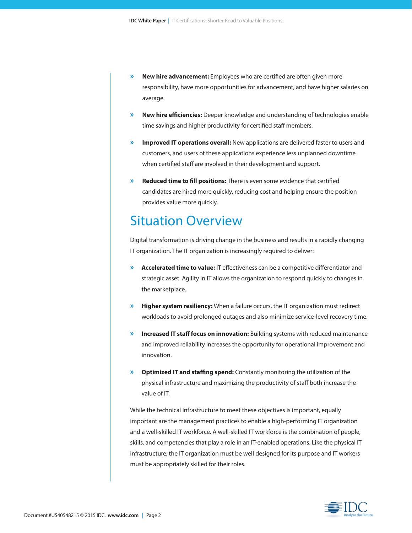- **» New hire advancement:** Employees who are certified are often given more responsibility, have more opportunities for advancement, and have higher salaries on average.
- **» New hire efficiencies:** Deeper knowledge and understanding of technologies enable time savings and higher productivity for certified staff members.
- **» Improved IT operations overall:** New applications are delivered faster to users and customers, and users of these applications experience less unplanned downtime when certified staff are involved in their development and support.
- **» Reduced time to fill positions:** There is even some evidence that certified candidates are hired more quickly, reducing cost and helping ensure the position provides value more quickly.

### Situation Overview

Digital transformation is driving change in the business and results in a rapidly changing IT organization. The IT organization is increasingly required to deliver:

- **» Accelerated time to value:** IT effectiveness can be a competitive differentiator and strategic asset. Agility in IT allows the organization to respond quickly to changes in the marketplace.
- **» Higher system resiliency:** When a failure occurs, the IT organization must redirect workloads to avoid prolonged outages and also minimize service-level recovery time.
- **» Increased IT staff focus on innovation:** Building systems with reduced maintenance and improved reliability increases the opportunity for operational improvement and innovation.
- **» Optimized IT and staffing spend:** Constantly monitoring the utilization of the physical infrastructure and maximizing the productivity of staff both increase the value of IT.

While the technical infrastructure to meet these objectives is important, equally important are the management practices to enable a high-performing IT organization and a well-skilled IT workforce. A well-skilled IT workforce is the combination of people, skills, and competencies that play a role in an IT-enabled operations. Like the physical IT infrastructure, the IT organization must be well designed for its purpose and IT workers must be appropriately skilled for their roles.

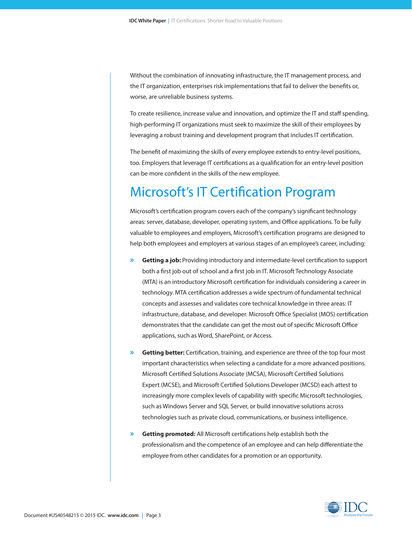Without the combination of innovating infrastructure, the IT management process, and the IT organization, enterprises risk implementations that fail to deliver the benefits or, worse, are unreliable business systems.

To create resilience, increase value and innovation, and optimize the IT and staff spending, high-performing IT organizations must seek to maximize the skill of their employees by leveraging a robust training and development program that includes IT certification.

The benefit of maximizing the skills of every employee extends to entry-level positions, too. Employers that leverage IT certifications as a qualification for an entry-level position can be more confident in the skills of the new employee.

## Microsoft's IT Certification Program

Microsoft's certification program covers each of the company's significant technology areas: server, database, developer, operating system, and Office applications. To be fully valuable to employees and employers, Microsoft's certification programs are designed to help both employees and employers at various stages of an employee's career, including:

- **» Getting a job:** Providing introductory and intermediate-level certification to support both a first job out of school and a first job in IT. Microsoft Technology Associate (MTA) is an introductory Microsoft certification for individuals considering a career in technology. MTA certification addresses a wide spectrum of fundamental technical concepts and assesses and validates core technical knowledge in three areas: IT infrastructure, database, and developer. Microsoft Office Specialist (MOS) certification demonstrates that the candidate can get the most out of specific Microsoft Office applications, such as Word, SharePoint, or Access.
- **» Getting better:** Certification, training, and experience are three of the top four most important characteristics when selecting a candidate for a more advanced positions. Microsoft Certified Solutions Associate (MCSA), Microsoft Certified Solutions Expert (MCSE), and Microsoft Certified Solutions Developer (MCSD) each attest to increasingly more complex levels of capability with specific Microsoft technologies, such as Windows Server and SQL Server, or build innovative solutions across technologies such as private cloud, communications, or business intelligence.
- **» Getting promoted:** All Microsoft certifications help establish both the professionalism and the competence of an employee and can help differentiate the employee from other candidates for a promotion or an opportunity.

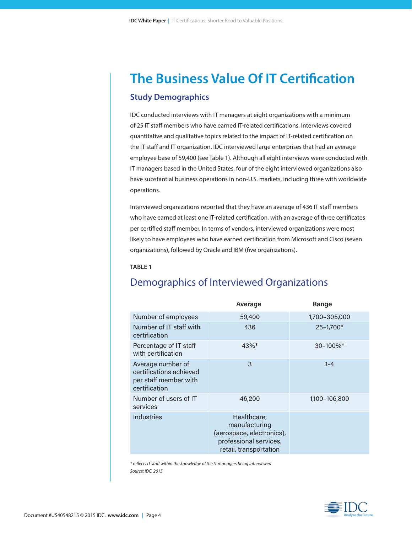## **The Business Value Of IT Certification Study Demographics**

IDC conducted interviews with IT managers at eight organizations with a minimum of 25 IT staff members who have earned IT-related certifications. Interviews covered quantitative and qualitative topics related to the impact of IT-related certification on the IT staff and IT organization. IDC interviewed large enterprises that had an average employee base of 59,400 (see Table 1). Although all eight interviews were conducted with IT managers based in the United States, four of the eight interviewed organizations also have substantial business operations in non-U.S. markets, including three with worldwide operations.

Interviewed organizations reported that they have an average of 436 IT staff members who have earned at least one IT-related certification, with an average of three certificates per certified staff member. In terms of vendors, interviewed organizations were most likely to have employees who have earned certification from Microsoft and Cisco (seven organizations), followed by Oracle and IBM (five organizations).

#### **TABLE 1**

### Demographics of Interviewed Organizations

|                                                                                        | Average                                                                                                       | Range                     |
|----------------------------------------------------------------------------------------|---------------------------------------------------------------------------------------------------------------|---------------------------|
| Number of employees                                                                    | 59,400                                                                                                        | 1,700-305,000             |
| Number of IT staff with<br>certification                                               | 436                                                                                                           | $25 - 1,700*$             |
| Percentage of IT staff<br>with certification                                           | 43%*                                                                                                          | $30 - 100\%$ <sup>*</sup> |
| Average number of<br>certifications achieved<br>per staff member with<br>certification | 3                                                                                                             | $1 - 4$                   |
| Number of users of IT<br>services                                                      | 46,200                                                                                                        | 1,100-106,800             |
| <b>Industries</b>                                                                      | Healthcare,<br>manufacturing<br>(aerospace, electronics),<br>professional services,<br>retail, transportation |                           |

*\* reflects IT staff within the knowledge of the IT managers being interviewed Source: IDC, 2015* 

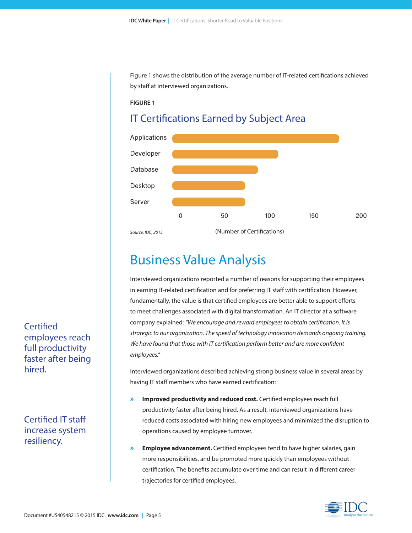Figure 1 shows the distribution of the average number of IT-related certifications achieved by staff at interviewed organizations.

#### **FIGURE 1**

### IT Certifications Earned by Subject Area



## Business Value Analysis

Interviewed organizations reported a number of reasons for supporting their employees in earning IT-related certification and for preferring IT staff with certification. However, fundamentally, the value is that certified employees are better able to support efforts to meet challenges associated with digital transformation. An IT director at a software company explained: *"We encourage and reward employees to obtain certification. It is strategic to our organization. The speed of technology innovation demands ongoing training. We have found that those with IT certification perform better and are more confident employees."*

Interviewed organizations described achieving strong business value in several areas by having IT staff members who have earned certification:

- **» Improved productivity and reduced cost.** Certified employees reach full productivity faster after being hired. As a result, interviewed organizations have reduced costs associated with hiring new employees and minimized the disruption to operations caused by employee turnover.
- **» Employee advancement.** Certified employees tend to have higher salaries, gain more responsibilities, and be promoted more quickly than employees without certification. The benefits accumulate over time and can result in different career trajectories for certified employees.

**Certified** employees reach full productivity faster after being hired.

Certified IT staff increase system resiliency.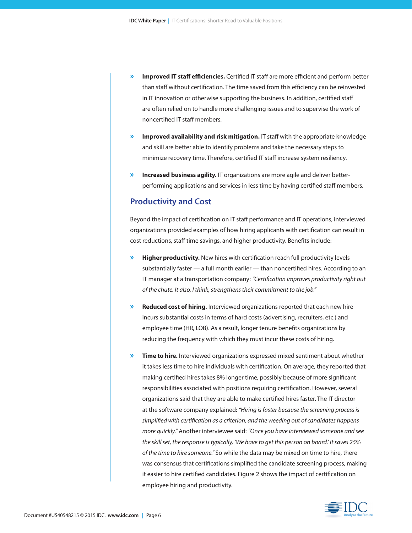- **» Improved IT staff efficiencies.** Certified IT staff are more efficient and perform better than staff without certification. The time saved from this efficiency can be reinvested in IT innovation or otherwise supporting the business. In addition, certified staff are often relied on to handle more challenging issues and to supervise the work of noncertified IT staff members.
- **» Improved availability and risk mitigation.** IT staff with the appropriate knowledge and skill are better able to identify problems and take the necessary steps to minimize recovery time. Therefore, certified IT staff increase system resiliency.
- **» Increased business agility.** IT organizations are more agile and deliver betterperforming applications and services in less time by having certified staff members.

#### **Productivity and Cost**

Beyond the impact of certification on IT staff performance and IT operations, interviewed organizations provided examples of how hiring applicants with certification can result in cost reductions, staff time savings, and higher productivity. Benefits include:

- **» Higher productivity.** New hires with certification reach full productivity levels substantially faster — a full month earlier — than noncertified hires. According to an IT manager at a transportation company: *"Certification improves productivity right out of the chute. It also, I think, strengthens their commitment to the job."*
- **» Reduced cost of hiring.** Interviewed organizations reported that each new hire incurs substantial costs in terms of hard costs (advertising, recruiters, etc.) and employee time (HR, LOB). As a result, longer tenure benefits organizations by reducing the frequency with which they must incur these costs of hiring.
- **» Time to hire.** Interviewed organizations expressed mixed sentiment about whether it takes less time to hire individuals with certification. On average, they reported that making certified hires takes 8% longer time, possibly because of more significant responsibilities associated with positions requiring certification. However, several organizations said that they are able to make certified hires faster. The IT director at the software company explained: *"Hiring is faster because the screening process is simplified with certification as a criterion, and the weeding out of candidates happens more quickly."* Another interviewee said: *"Once you have interviewed someone and see the skill set, the response is typically, 'We have to get this person on board.' It saves 25% of the time to hire someone."* So while the data may be mixed on time to hire, there was consensus that certifications simplified the candidate screening process, making it easier to hire certified candidates. Figure 2 shows the impact of certification on employee hiring and productivity.

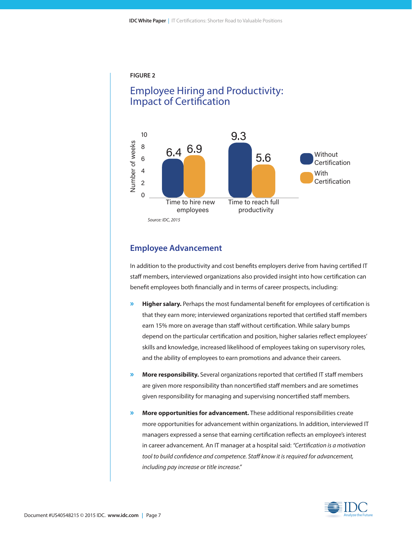

### Employee Hiring and Productivity: Impact of Certification



#### **Employee Advancement**

In addition to the productivity and cost benefits employers derive from having certified IT staff members, interviewed organizations also provided insight into how certification can benefit employees both financially and in terms of career prospects, including:

- **» Higher salary.** Perhaps the most fundamental benefit for employees of certification is that they earn more; interviewed organizations reported that certified staff members earn 15% more on average than staff without certification. While salary bumps depend on the particular certification and position, higher salaries reflect employees' skills and knowledge, increased likelihood of employees taking on supervisory roles, and the ability of employees to earn promotions and advance their careers.
- **» More responsibility.** Several organizations reported that certified IT staff members are given more responsibility than noncertified staff members and are sometimes given responsibility for managing and supervising noncertified staff members.
- **» More opportunities for advancement.** These additional responsibilities create more opportunities for advancement within organizations. In addition, interviewed IT managers expressed a sense that earning certification reflects an employee's interest in career advancement. An IT manager at a hospital said: *"Certification is a motivation tool to build confidence and competence. Staff know it is required for advancement, including pay increase or title increase."*

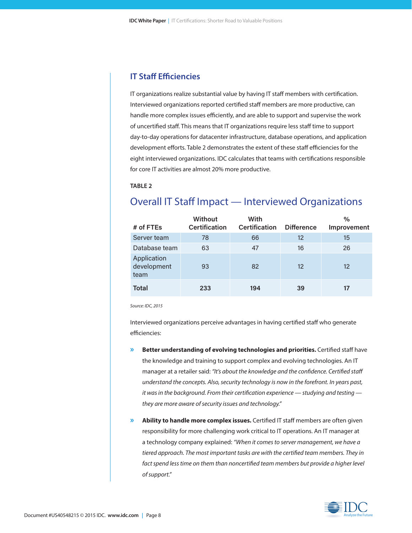#### **IT Staff Efficiencies**

IT organizations realize substantial value by having IT staff members with certification. Interviewed organizations reported certified staff members are more productive, can handle more complex issues efficiently, and are able to support and supervise the work of uncertified staff. This means that IT organizations require less staff time to support day-to-day operations for datacenter infrastructure, database operations, and application development efforts. Table 2 demonstrates the extent of these staff efficiencies for the eight interviewed organizations. IDC calculates that teams with certifications responsible for core IT activities are almost 20% more productive.

**TABLE 2**

### Overall IT Staff Impact — Interviewed Organizations

| # of FTEs                          | <b>Without</b><br><b>Certification</b> | With<br><b>Certification</b> | <b>Difference</b> | $\%$<br>Improvement |
|------------------------------------|----------------------------------------|------------------------------|-------------------|---------------------|
| Server team                        | 78                                     | 66                           | 12                | 15                  |
| Database team                      | 63                                     | 47                           | 16                | 26                  |
| Application<br>development<br>team | 93                                     | 82                           | 12                | 12                  |
| <b>Total</b>                       | 233                                    | 194                          | 39                |                     |

*Source: IDC, 2015*

Interviewed organizations perceive advantages in having certified staff who generate efficiencies:

- **» Better understanding of evolving technologies and priorities.** Certified staff have the knowledge and training to support complex and evolving technologies. An IT manager at a retailer said: *"It's about the knowledge and the confidence. Certified staff understand the concepts. Also, security technology is now in the forefront. In years past, it was in the background. From their certification experience — studying and testing they are more aware of security issues and technology."*
- **» Ability to handle more complex issues.** Certified IT staff members are often given responsibility for more challenging work critical to IT operations. An IT manager at a technology company explained: *"When it comes to server management, we have a tiered approach. The most important tasks are with the certified team members. They in*  fact spend less time on them than noncertified team members but provide a higher level *of support."*

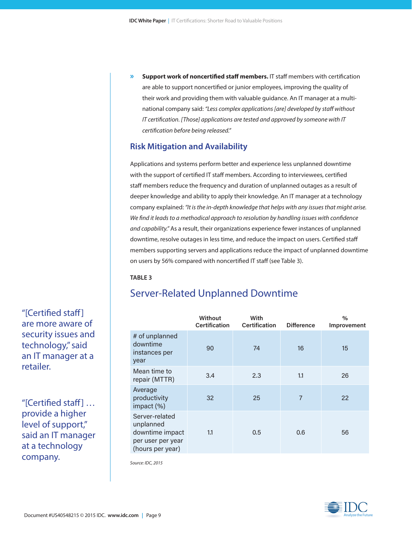**» Support work of noncertified staff members.** IT staff members with certification are able to support noncertified or junior employees, improving the quality of their work and providing them with valuable guidance. An IT manager at a multinational company said: *"Less complex applications [are] developed by staff without IT certification. [Those] applications are tested and approved by someone with IT certification before being released."*

#### **Risk Mitigation and Availability**

Applications and systems perform better and experience less unplanned downtime with the support of certified IT staff members. According to interviewees, certified staff members reduce the frequency and duration of unplanned outages as a result of deeper knowledge and ability to apply their knowledge. An IT manager at a technology company explained: *"It is the in-depth knowledge that helps with any issues that might arise. We find it leads to a methodical approach to resolution by handling issues with confidence and capability."* As a result, their organizations experience fewer instances of unplanned downtime, resolve outages in less time, and reduce the impact on users. Certified staff members supporting servers and applications reduce the impact of unplanned downtime on users by 56% compared with noncertified IT staff (see Table 3).

#### **TABLE 3**

### Server-Related Unplanned Downtime

|                                                                                         | Without<br><b>Certification</b> | With<br><b>Certification</b> | <b>Difference</b> | $\%$<br>Improvement |
|-----------------------------------------------------------------------------------------|---------------------------------|------------------------------|-------------------|---------------------|
| # of unplanned<br>downtime<br>instances per<br>year                                     | 90                              | 74                           | 16                | 15                  |
| Mean time to<br>repair (MTTR)                                                           | 3.4                             | 2.3                          | 1.1               | 26                  |
| Average<br>productivity<br>impact (%)                                                   | 32                              | 25                           | 7                 | 22                  |
| Server-related<br>unplanned<br>downtime impact<br>per user per year<br>(hours per year) | 1.1                             | 0.5                          | 0.6               | 56                  |

*Source: IDC, 2015*

"[Certified staff] are more aware of security issues and technology," said an IT manager at a retailer.

"[Certified staff] … provide a higher level of support," said an IT manager at a technology company.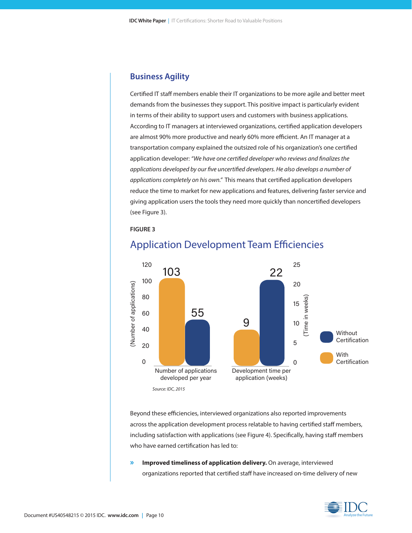#### **Business Agility**

Certified IT staff members enable their IT organizations to be more agile and better meet demands from the businesses they support. This positive impact is particularly evident in terms of their ability to support users and customers with business applications. According to IT managers at interviewed organizations, certified application developers are almost 90% more productive and nearly 60% more efficient. An IT manager at a transportation company explained the outsized role of his organization's one certified application developer: *"We have one certified developer who reviews and finalizes the applications developed by our five uncertified developers. He also develops a number of applications completely on his own."* This means that certified application developers reduce the time to market for new applications and features, delivering faster service and giving application users the tools they need more quickly than noncertified developers (see Figure 3).





### Application Development Team Efficiencies

Beyond these efficiencies, interviewed organizations also reported improvements across the application development process relatable to having certified staff members, including satisfaction with applications (see Figure 4). Specifically, having staff members who have earned certification has led to:

**» Improved timeliness of application delivery.** On average, interviewed organizations reported that certified staff have increased on-time delivery of new

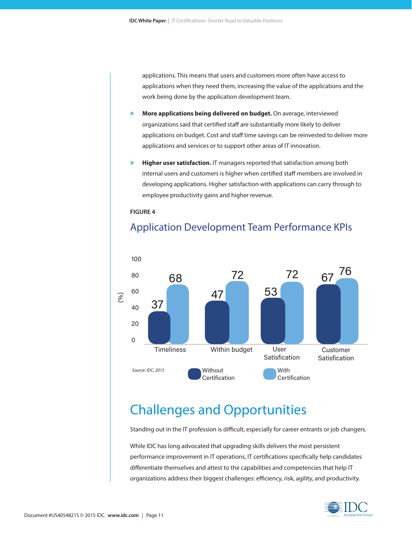applications. This means that users and customers more often have access to applications when they need them, increasing the value of the applications and the work being done by the application development team.

- **» More applications being delivered on budget.** On average, interviewed organizations said that certified staff are substantially more likely to deliver applications on budget. Cost and staff time savings can be reinvested to deliver more applications and services or to support other areas of IT innovation.
- **» Higher user satisfaction.** IT managers reported that satisfaction among both internal users and customers is higher when certified staff members are involved in developing applications. Higher satisfaction with applications can carry through to employee productivity gains and higher revenue.

**FIGURE 4**



### Application Development Team Performance KPIs

## Challenges and Opportunities

Standing out in the IT profession is difficult, especially for career entrants or job changers.

While IDC has long advocated that upgrading skills delivers the most persistent performance improvement in IT operations, IT certifications specifically help candidates differentiate themselves and attest to the capabilities and competencies that help IT organizations address their biggest challenges: efficiency, risk, agility, and productivity.

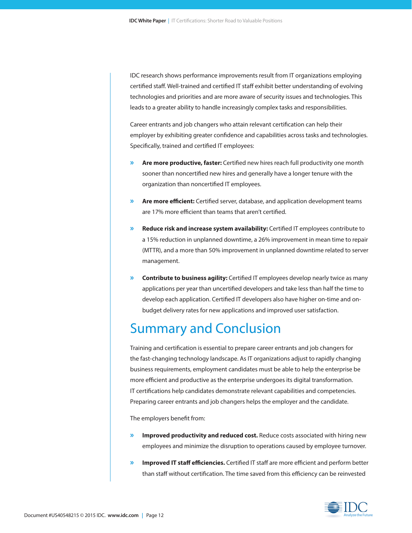IDC research shows performance improvements result from IT organizations employing certified staff. Well-trained and certified IT staff exhibit better understanding of evolving technologies and priorities and are more aware of security issues and technologies. This leads to a greater ability to handle increasingly complex tasks and responsibilities.

Career entrants and job changers who attain relevant certification can help their employer by exhibiting greater confidence and capabilities across tasks and technologies. Specifically, trained and certified IT employees:

- **» Are more productive, faster:** Certified new hires reach full productivity one month sooner than noncertified new hires and generally have a longer tenure with the organization than noncertified IT employees.
- **» Are more efficient:** Certified server, database, and application development teams are 17% more efficient than teams that aren't certified.
- **» Reduce risk and increase system availability:** Certified IT employees contribute to a 15% reduction in unplanned downtime, a 26% improvement in mean time to repair (MTTR), and a more than 50% improvement in unplanned downtime related to server management.
- **» Contribute to business agility:** Certified IT employees develop nearly twice as many applications per year than uncertified developers and take less than half the time to develop each application. Certified IT developers also have higher on-time and onbudget delivery rates for new applications and improved user satisfaction.

## Summary and Conclusion

Training and certification is essential to prepare career entrants and job changers for the fast-changing technology landscape. As IT organizations adjust to rapidly changing business requirements, employment candidates must be able to help the enterprise be more efficient and productive as the enterprise undergoes its digital transformation. IT certifications help candidates demonstrate relevant capabilities and competencies. Preparing career entrants and job changers helps the employer and the candidate.

The employers benefit from:

- **» Improved productivity and reduced cost.** Reduce costs associated with hiring new employees and minimize the disruption to operations caused by employee turnover.
- **» Improved IT staff efficiencies.** Certified IT staff are more efficient and perform better than staff without certification. The time saved from this efficiency can be reinvested

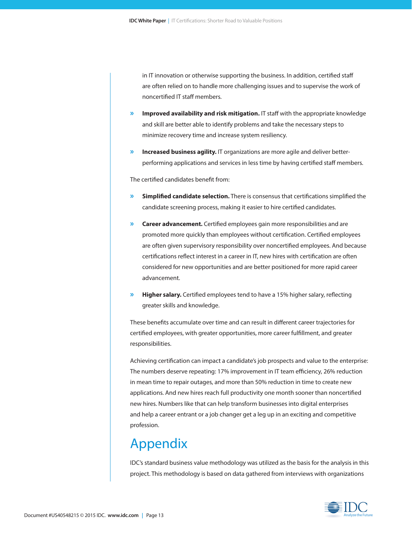in IT innovation or otherwise supporting the business. In addition, certified staff are often relied on to handle more challenging issues and to supervise the work of noncertified IT staff members.

- **» Improved availability and risk mitigation.** IT staff with the appropriate knowledge and skill are better able to identify problems and take the necessary steps to minimize recovery time and increase system resiliency.
- **» Increased business agility.** IT organizations are more agile and deliver betterperforming applications and services in less time by having certified staff members.

The certified candidates benefit from:

- **» Simplified candidate selection.** There is consensus that certifications simplified the candidate screening process, making it easier to hire certified candidates.
- **» Career advancement.** Certified employees gain more responsibilities and are promoted more quickly than employees without certification. Certified employees are often given supervisory responsibility over noncertified employees. And because certifications reflect interest in a career in IT, new hires with certification are often considered for new opportunities and are better positioned for more rapid career advancement.
- **» Higher salary.** Certified employees tend to have a 15% higher salary, reflecting greater skills and knowledge.

These benefits accumulate over time and can result in different career trajectories for certified employees, with greater opportunities, more career fulfillment, and greater responsibilities.

Achieving certification can impact a candidate's job prospects and value to the enterprise: The numbers deserve repeating: 17% improvement in IT team efficiency, 26% reduction in mean time to repair outages, and more than 50% reduction in time to create new applications. And new hires reach full productivity one month sooner than noncertified new hires. Numbers like that can help transform businesses into digital enterprises and help a career entrant or a job changer get a leg up in an exciting and competitive profession.

## Appendix

IDC's standard business value methodology was utilized as the basis for the analysis in this project. This methodology is based on data gathered from interviews with organizations